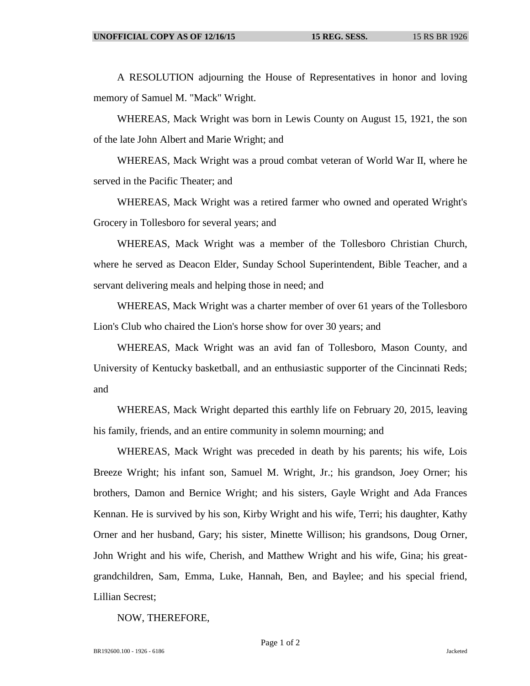A RESOLUTION adjourning the House of Representatives in honor and loving memory of Samuel M. "Mack" Wright.

WHEREAS, Mack Wright was born in Lewis County on August 15, 1921, the son of the late John Albert and Marie Wright; and

WHEREAS, Mack Wright was a proud combat veteran of World War II, where he served in the Pacific Theater; and

WHEREAS, Mack Wright was a retired farmer who owned and operated Wright's Grocery in Tollesboro for several years; and

WHEREAS, Mack Wright was a member of the Tollesboro Christian Church, where he served as Deacon Elder, Sunday School Superintendent, Bible Teacher, and a servant delivering meals and helping those in need; and

WHEREAS, Mack Wright was a charter member of over 61 years of the Tollesboro Lion's Club who chaired the Lion's horse show for over 30 years; and

WHEREAS, Mack Wright was an avid fan of Tollesboro, Mason County, and University of Kentucky basketball, and an enthusiastic supporter of the Cincinnati Reds; and

WHEREAS, Mack Wright departed this earthly life on February 20, 2015, leaving his family, friends, and an entire community in solemn mourning; and

WHEREAS, Mack Wright was preceded in death by his parents; his wife, Lois Breeze Wright; his infant son, Samuel M. Wright, Jr.; his grandson, Joey Orner; his brothers, Damon and Bernice Wright; and his sisters, Gayle Wright and Ada Frances Kennan. He is survived by his son, Kirby Wright and his wife, Terri; his daughter, Kathy Orner and her husband, Gary; his sister, Minette Willison; his grandsons, Doug Orner, John Wright and his wife, Cherish, and Matthew Wright and his wife, Gina; his greatgrandchildren, Sam, Emma, Luke, Hannah, Ben, and Baylee; and his special friend, Lillian Secrest;

NOW, THEREFORE,